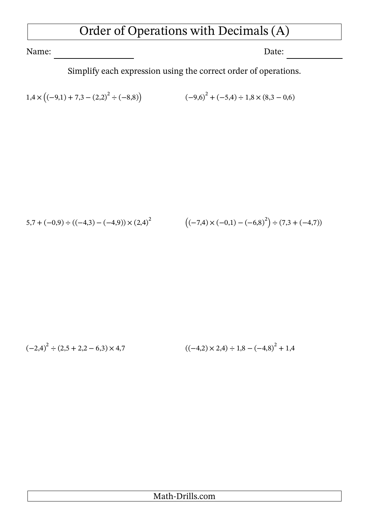## Order of Operations with Decimals (A)

Name: Date:

Simplify each expression using the correct order of operations.

$$
1,4 \times ((-9,1) + 7,3 - (2,2)^2 \div (-8,8))
$$
\n
$$
(-9,6)^2 + (-5,4) \div 1,8 \times (8,3 - 0,6)
$$

$$
5.7 + (-0.9) \div ((-4.3) - (-4.9)) \times (2.4)^{2}
$$
\n
$$
((-7.4) \times (-0.1) - (-6.8)^{2}) \div (7.3 + (-4.7))
$$

$$
(-2,4)^{2} \div (2,5+2,2-6,3) \times 4,7
$$
\n
$$
((-4,2) \times 2,4) \div 1,8-(-4,8)^{2}+1,4
$$